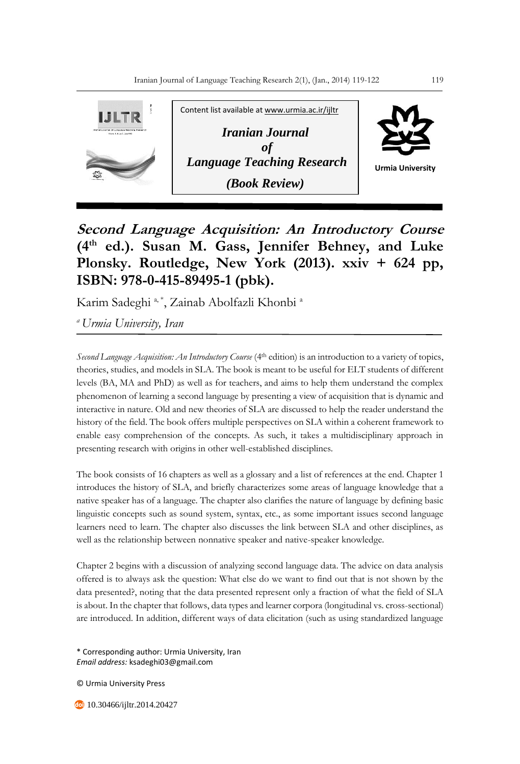

**Second Language Acquisition: An Introductory Course (4th ed.). Susan M. Gass, Jennifer Behney, and Luke Plonsky. Routledge, New York (2013). xxiv + 624 pp, ISBN: 978-0-415-89495-1 (pbk).**

Karim Sadeghi<sup>a, \*</sup>, Zainab Abolfazli Khonbi<sup>a</sup>

*<sup>a</sup>Urmia University, Iran*

*Second Language Acquisition: An Introductory Course* (4<sup>th</sup> edition) is an introduction to a variety of topics, theories, studies, and models in SLA. The book is meant to be useful for ELT students of different levels (BA, MA and PhD) as well as for teachers, and aims to help them understand the complex phenomenon of learning a second language by presenting a view of acquisition that is dynamic and interactive in nature. Old and new theories of SLA are discussed to help the reader understand the history of the field. The book offers multiple perspectives on SLA within a coherent framework to enable easy comprehension of the concepts. As such, it takes a multidisciplinary approach in presenting research with origins in other well-established disciplines.

The book consists of 16 chapters as well as a glossary and a list of references at the end. Chapter 1 introduces the history of SLA, and briefly characterizes some areas of language knowledge that a native speaker has of a language. The chapter also clarifies the nature of language by defining basic linguistic concepts such as sound system, syntax, etc., as some important issues second language learners need to learn. The chapter also discusses the link between SLA and other disciplines, as well as the relationship between nonnative speaker and native-speaker knowledge.

Chapter 2 begins with a discussion of analyzing second language data. The advice on data analysis offered is to always ask the question: What else do we want to find out that is not shown by the data presented?, noting that the data presented represent only a fraction of what the field of SLA is about. In the chapter that follows, data types and learner corpora (longitudinal vs. cross-sectional) are introduced. In addition, different ways of data elicitation (such as using standardized language

\* Corresponding author: Urmia University, Iran *Email address:* ksadeghi03@gmail.com

© Urmia University Press

10.30466/ijltr.2014.20427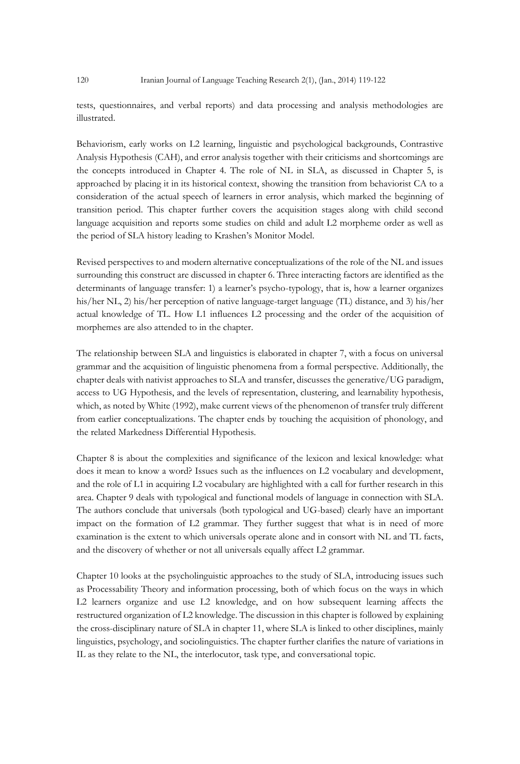tests, questionnaires, and verbal reports) and data processing and analysis methodologies are illustrated.

Behaviorism, early works on L2 learning, linguistic and psychological backgrounds, Contrastive Analysis Hypothesis (CAH), and error analysis together with their criticisms and shortcomings are the concepts introduced in Chapter 4. The role of NL in SLA, as discussed in Chapter 5, is approached by placing it in its historical context, showing the transition from behaviorist CA to a consideration of the actual speech of learners in error analysis, which marked the beginning of transition period. This chapter further covers the acquisition stages along with child second language acquisition and reports some studies on child and adult L2 morpheme order as well as the period of SLA history leading to Krashen's Monitor Model.

Revised perspectives to and modern alternative conceptualizations of the role of the NL and issues surrounding this construct are discussed in chapter 6. Three interacting factors are identified as the determinants of language transfer: 1) a learner's psycho-typology, that is, how a learner organizes his/her NL, 2) his/her perception of native language-target language (TL) distance, and 3) his/her actual knowledge of TL. How L1 influences L2 processing and the order of the acquisition of morphemes are also attended to in the chapter.

The relationship between SLA and linguistics is elaborated in chapter 7, with a focus on universal grammar and the acquisition of linguistic phenomena from a formal perspective. Additionally, the chapter deals with nativist approaches to SLA and transfer, discusses the generative/UG paradigm, access to UG Hypothesis, and the levels of representation, clustering, and learnability hypothesis, which, as noted by White (1992), make current views of the phenomenon of transfer truly different from earlier conceptualizations. The chapter ends by touching the acquisition of phonology, and the related Markedness Differential Hypothesis.

Chapter 8 is about the complexities and significance of the lexicon and lexical knowledge: what does it mean to know a word? Issues such as the influences on L2 vocabulary and development, and the role of L1 in acquiring L2 vocabulary are highlighted with a call for further research in this area. Chapter 9 deals with typological and functional models of language in connection with SLA. The authors conclude that universals (both typological and UG-based) clearly have an important impact on the formation of L2 grammar. They further suggest that what is in need of more examination is the extent to which universals operate alone and in consort with NL and TL facts, and the discovery of whether or not all universals equally affect L2 grammar.

Chapter 10 looks at the psycholinguistic approaches to the study of SLA, introducing issues such as Processability Theory and information processing, both of which focus on the ways in which L2 learners organize and use L2 knowledge, and on how subsequent learning affects the restructured organization of L2 knowledge. The discussion in this chapter is followed by explaining the cross-disciplinary nature of SLA in chapter 11, where SLA is linked to other disciplines, mainly linguistics, psychology, and sociolinguistics. The chapter further clarifies the nature of variations in IL as they relate to the NL, the interlocutor, task type, and conversational topic.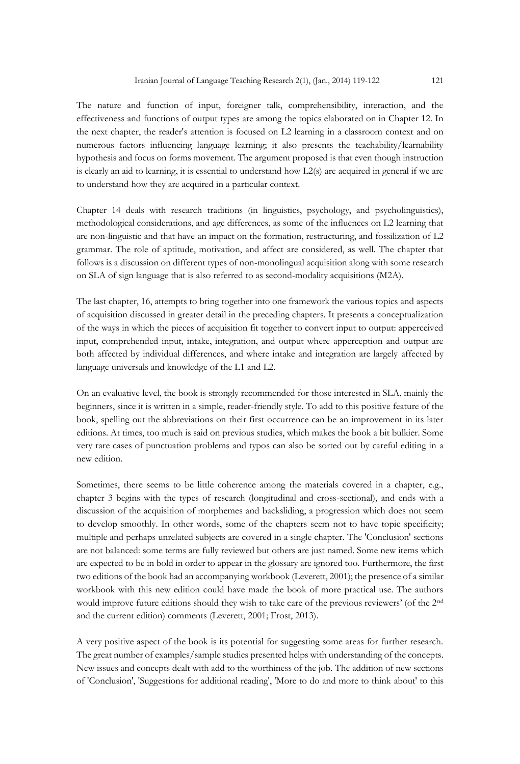The nature and function of input, foreigner talk, comprehensibility, interaction, and the effectiveness and functions of output types are among the topics elaborated on in Chapter 12. In the next chapter, the reader's attention is focused on L2 learning in a classroom context and on numerous factors influencing language learning; it also presents the teachability/learnability hypothesis and focus on forms movement. The argument proposed is that even though instruction is clearly an aid to learning, it is essential to understand how L2(s) are acquired in general if we are to understand how they are acquired in a particular context.

Chapter 14 deals with research traditions (in linguistics, psychology, and psycholinguistics), methodological considerations, and age differences, as some of the influences on L2 learning that are non-linguistic and that have an impact on the formation, restructuring, and fossilization of L2 grammar. The role of aptitude, motivation, and affect are considered, as well. The chapter that follows is a discussion on different types of non-monolingual acquisition along with some research on SLA of sign language that is also referred to as second-modality acquisitions (M2A).

The last chapter, 16, attempts to bring together into one framework the various topics and aspects of acquisition discussed in greater detail in the preceding chapters. It presents a conceptualization of the ways in which the pieces of acquisition fit together to convert input to output: apperceived input, comprehended input, intake, integration, and output where apperception and output are both affected by individual differences, and where intake and integration are largely affected by language universals and knowledge of the L1 and L2.

On an evaluative level, the book is strongly recommended for those interested in SLA, mainly the beginners, since it is written in a simple, reader-friendly style. To add to this positive feature of the book, spelling out the abbreviations on their first occurrence can be an improvement in its later editions. At times, too much is said on previous studies, which makes the book a bit bulkier. Some very rare cases of punctuation problems and typos can also be sorted out by careful editing in a new edition.

Sometimes, there seems to be little coherence among the materials covered in a chapter, e.g., chapter 3 begins with the types of research (longitudinal and cross-sectional), and ends with a discussion of the acquisition of morphemes and backsliding, a progression which does not seem to develop smoothly. In other words, some of the chapters seem not to have topic specificity; multiple and perhaps unrelated subjects are covered in a single chapter. The 'Conclusion' sections are not balanced: some terms are fully reviewed but others are just named. Some new items which are expected to be in bold in order to appear in the glossary are ignored too. Furthermore, the first two editions of the book had an accompanying workbook (Leverett, 2001); the presence of a similar workbook with this new edition could have made the book of more practical use. The authors would improve future editions should they wish to take care of the previous reviewers' (of the 2nd and the current edition) comments (Leverett, 2001; Frost, 2013).

A very positive aspect of the book is its potential for suggesting some areas for further research. The great number of examples/sample studies presented helps with understanding of the concepts. New issues and concepts dealt with add to the worthiness of the job. The addition of new sections of 'Conclusion', 'Suggestions for additional reading', 'More to do and more to think about' to this